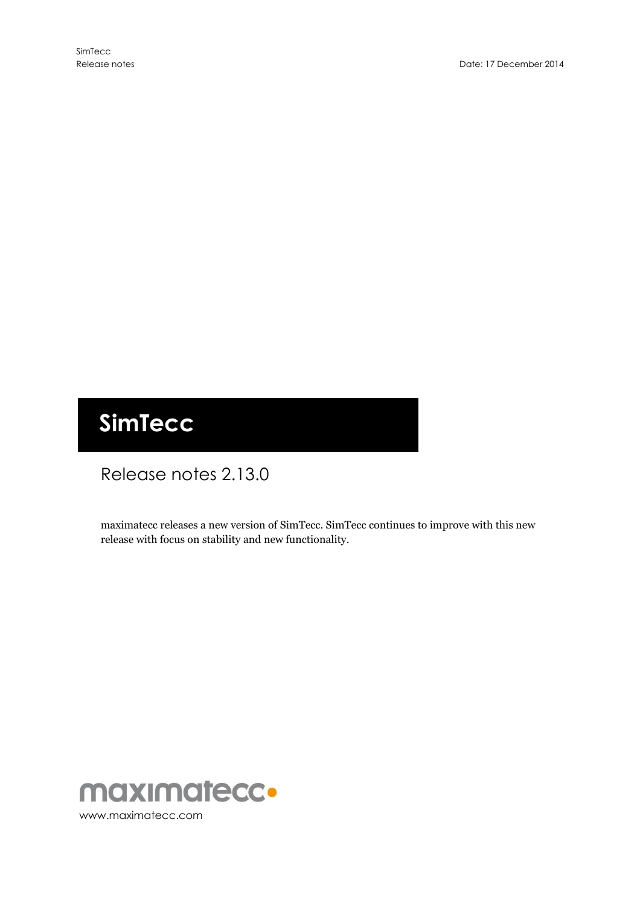# **SimTecc**

# Release notes 2.13.0

maximatecc releases a new version of SimTecc. SimTecc continues to improve with this new release with focus on stability and new functionality.

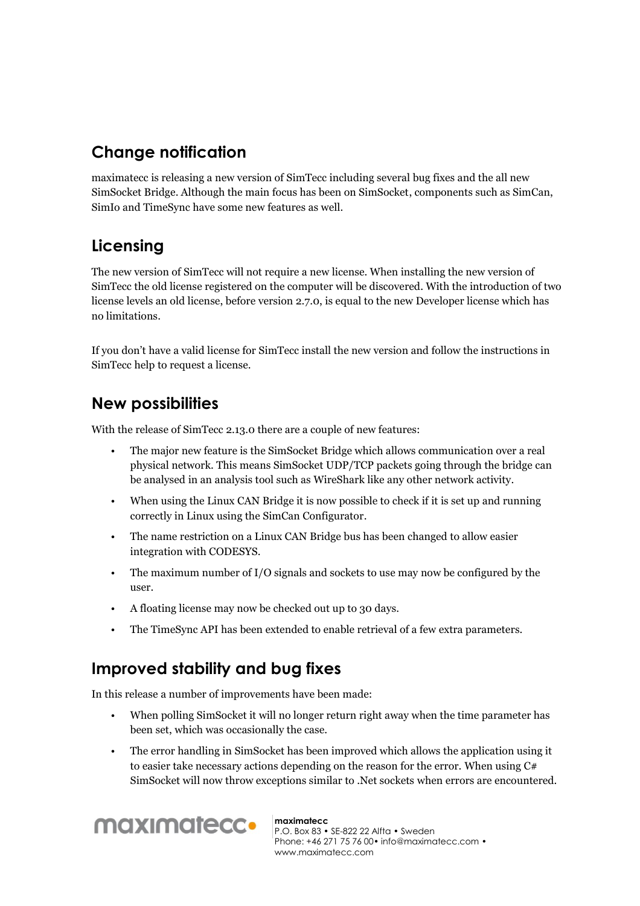### **Change notification**

maximatecc is releasing a new version of SimTecc including several bug fixes and the all new SimSocket Bridge. Although the main focus has been on SimSocket, components such as SimCan, SimIo and TimeSync have some new features as well.

## **Licensing**

The new version of SimTecc will not require a new license. When installing the new version of SimTecc the old license registered on the computer will be discovered. With the introduction of two license levels an old license, before version 2.7.0, is equal to the new Developer license which has no limitations.

If you don't have a valid license for SimTecc install the new version and follow the instructions in SimTecc help to request a license.

#### **New possibilities**

With the release of SimTecc 2.13.0 there are a couple of new features:

- The major new feature is the SimSocket Bridge which allows communication over a real physical network. This means SimSocket UDP/TCP packets going through the bridge can be analysed in an analysis tool such as WireShark like any other network activity.
- When using the Linux CAN Bridge it is now possible to check if it is set up and running correctly in Linux using the SimCan Configurator.
- The name restriction on a Linux CAN Bridge bus has been changed to allow easier integration with CODESYS.
- The maximum number of I/O signals and sockets to use may now be configured by the user.
- A floating license may now be checked out up to 30 days.
- The TimeSync API has been extended to enable retrieval of a few extra parameters.

### **Improved stability and bug fixes**

In this release a number of improvements have been made:

- When polling SimSocket it will no longer return right away when the time parameter has been set, which was occasionally the case.
- The error handling in SimSocket has been improved which allows the application using it to easier take necessary actions depending on the reason for the error. When using  $C#$ SimSocket will now throw exceptions similar to .Net sockets when errors are encountered.



#### **maximatecc**

P.O. Box 83 • SE-822 22 Alfta • Sweden Phone: +46 271 75 76 00• info@maximatecc.com • www.maximatecc.com